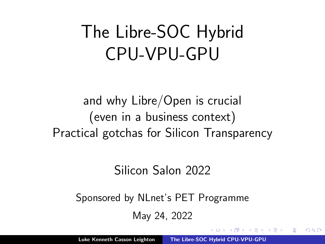## <span id="page-0-0"></span>The Libre-SOC Hybrid CPU-VPU-GPU

and why Libre/Open is crucial (even in a business context) Practical gotchas for Silicon Transparency

#### Silicon Salon 2022

Sponsored by NLnet's PET Programme

May 24, 2022

へのへ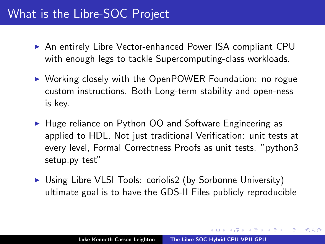#### What is the Libre-SOC Project

- ▶ An entirely Libre Vector-enhanced Power ISA compliant CPU with enough legs to tackle Supercomputing-class workloads.
- ▶ Working closely with the OpenPOWER Foundation: no rogue custom instructions. Both Long-term stability and open-ness is key.
- ► Huge reliance on Python OO and Software Engineering as applied to HDL. Not just traditional Verification: unit tests at every level, Formal Correctness Proofs as unit tests. "python3 setup.py test"
- ► Using Libre VLSI Tools: coriolis2 (by Sorbonne University) ultimate goal is to have the GDS-II Files publicly reproducible

A + + = + + = +

∽≏ດ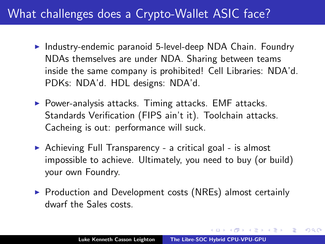### What challenges does a Crypto-Wallet ASIC face?

- $\triangleright$  Industry-endemic paranoid 5-level-deep NDA Chain. Foundry NDAs themselves are under NDA. Sharing between teams inside the same company is prohibited! Cell Libraries: NDA'd. PDKs: NDA'd. HDL designs: NDA'd.
- $\triangleright$  Power-analysis attacks. Timing attacks. EMF attacks. Standards Verification (FIPS ain't it). Toolchain attacks. Cacheing is out: performance will suck.
- Achieving Full Transparency a critical goal is almost impossible to achieve. Ultimately, you need to buy (or build) your own Foundry.
- $\triangleright$  Production and Development costs (NREs) almost certainly dwarf the Sales costs.

 $\mathcal{A}$  and  $\mathcal{A}$  is a set of  $\mathcal{B}$  is a set of  $\mathcal{B}$  is a set of  $\mathcal{B}$  is a set of  $\mathcal{B}$ 

∽≏ດ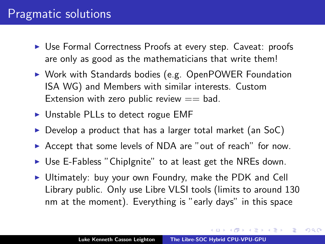#### Pragmatic solutions

- ▶ Use Formal Correctness Proofs at every step. Caveat: proofs are only as good as the mathematicians that write them!
- ▶ Work with Standards bodies (e.g. OpenPOWER Foundation ISA WG) and Members with similar interests. Custom Extension with zero public review  $==$  bad.
- $\triangleright$  Unstable PLLs to detect rogue EMF
- $\triangleright$  Develop a product that has a larger total market (an SoC)
- $\triangleright$  Accept that some levels of NDA are "out of reach" for now.
- $\triangleright$  Use E-Fabless "ChipIgnite" to at least get the NREs down.
- $\triangleright$  Ultimately: buy your own Foundry, make the PDK and Cell Library public. Only use Libre VLSI tools (limits to around 130 nm at the moment). Everything is "early days" in this space

オター・オティ オティ

つくい